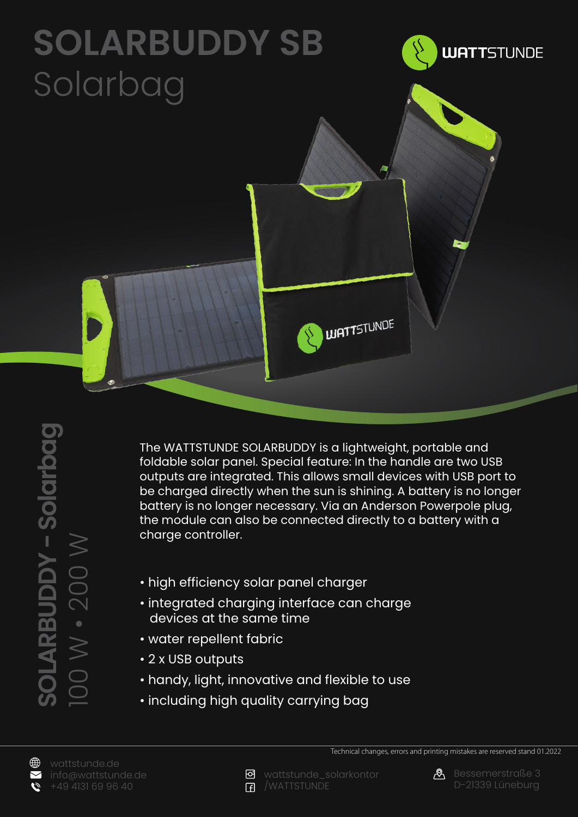## **SOLARBUDDY SB** Solarbag



∰

Ó

The WATTSTUNDE SOLARBUDDY is a lightweight, portable and foldable solar panel. Special feature: In the handle are two USB outputs are integrated. This allows small devices with USB port to be charged directly when the sun is shining. A battery is no longer battery is no longer necessary. Via an Anderson Powerpole plug, the module can also be connected directly to a battery with a charge controller.

**UATTSTUNDE** 

- high efficiency solar panel charger
- integrated charging interface can charge devices at the same time
- water repellent fabric
- 2 x USB outputs
- handy, light, innovative and flexible to use
- including high quality carrying bag





Technical changes, errors and printing mistakes are reserved stand 01.2022